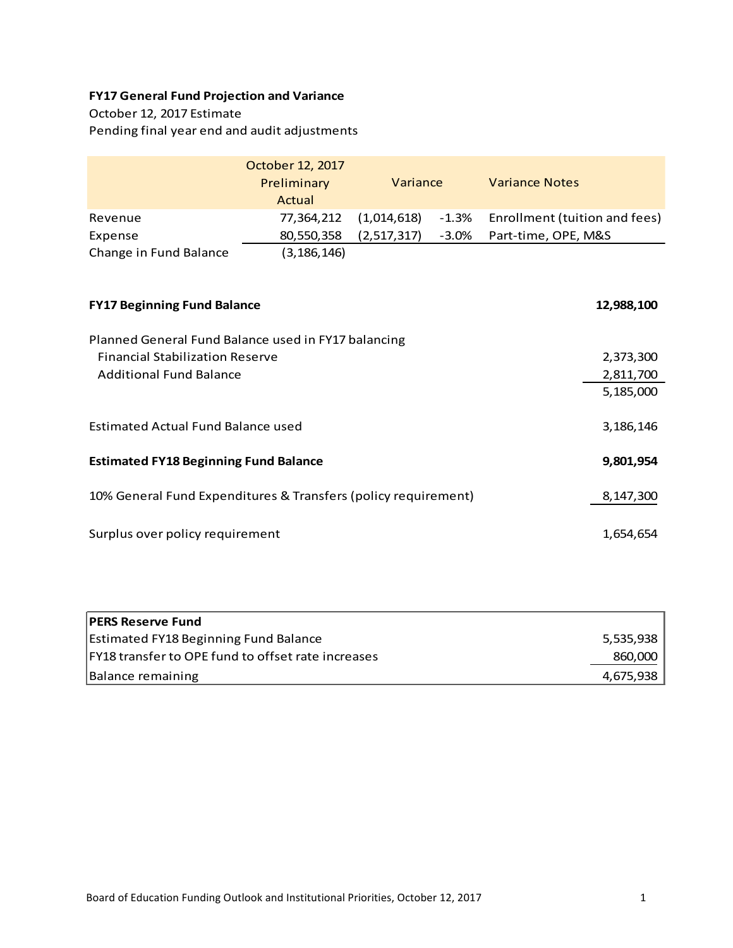## **FY17 General Fund Projection and Variance**

# October 12, 2017 Estimate

Pending final year end and audit adjustments

|                        | October 12, 2017<br>Preliminary<br>Actual | Variance    |          | <b>Variance Notes</b>         |
|------------------------|-------------------------------------------|-------------|----------|-------------------------------|
| Revenue                | 77.364.212                                | (1,014,618) | $-1.3\%$ | Enrollment (tuition and fees) |
| Expense                | 80,550,358                                | (2,517,317) | -3.0%    | Part-time, OPE, M&S           |
| Change in Fund Balance | (3, 186, 146)                             |             |          |                               |
|                        |                                           |             |          |                               |

| <b>FY17 Beginning Fund Balance</b>                             | 12,988,100  |  |
|----------------------------------------------------------------|-------------|--|
| Planned General Fund Balance used in FY17 balancing            |             |  |
| <b>Financial Stabilization Reserve</b>                         | 2,373,300   |  |
| <b>Additional Fund Balance</b>                                 | 2,811,700   |  |
|                                                                | 5,185,000   |  |
| Estimated Actual Fund Balance used                             | 3, 186, 146 |  |
| <b>Estimated FY18 Beginning Fund Balance</b>                   |             |  |
| 10% General Fund Expenditures & Transfers (policy requirement) | 8,147,300   |  |
| Surplus over policy requirement                                | 1,654,654   |  |

| <b>PERS Reserve Fund</b>                           |           |
|----------------------------------------------------|-----------|
| <b>Estimated FY18 Beginning Fund Balance</b>       | 5,535,938 |
| FY18 transfer to OPE fund to offset rate increases | 860,000   |
| Balance remaining                                  | 4.675.938 |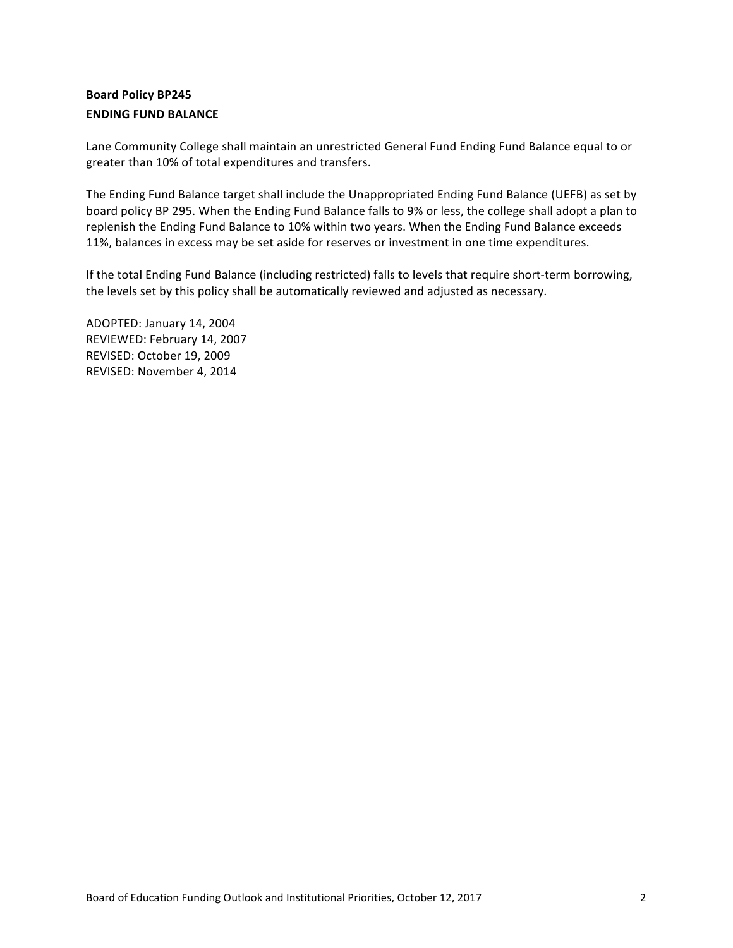## **Board Policy BP245 ENDING FUND BALANCE**

Lane Community College shall maintain an unrestricted General Fund Ending Fund Balance equal to or greater than 10% of total expenditures and transfers.

The Ending Fund Balance target shall include the Unappropriated Ending Fund Balance (UEFB) as set by board policy BP 295. When the Ending Fund Balance falls to 9% or less, the college shall adopt a plan to replenish the Ending Fund Balance to 10% within two years. When the Ending Fund Balance exceeds 11%, balances in excess may be set aside for reserves or investment in one time expenditures.

If the total Ending Fund Balance (including restricted) falls to levels that require short-term borrowing, the levels set by this policy shall be automatically reviewed and adjusted as necessary.

ADOPTED: January 14, 2004 REVIEWED: February 14, 2007 REVISED: October 19, 2009 REVISED: November 4, 2014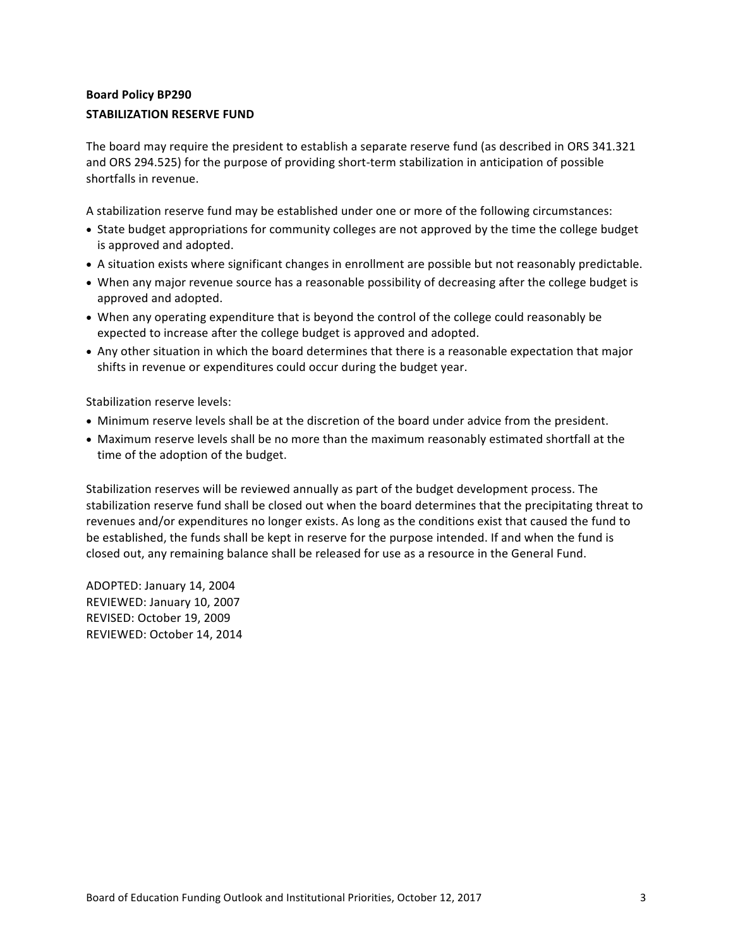## **Board Policy BP290 STABILIZATION RESERVE FUND**

The board may require the president to establish a separate reserve fund (as described in ORS 341.321 and ORS 294.525) for the purpose of providing short-term stabilization in anticipation of possible shortfalls in revenue.

A stabilization reserve fund may be established under one or more of the following circumstances:

- State budget appropriations for community colleges are not approved by the time the college budget is approved and adopted.
- A situation exists where significant changes in enrollment are possible but not reasonably predictable.
- When any major revenue source has a reasonable possibility of decreasing after the college budget is approved and adopted.
- When any operating expenditure that is beyond the control of the college could reasonably be expected to increase after the college budget is approved and adopted.
- Any other situation in which the board determines that there is a reasonable expectation that major shifts in revenue or expenditures could occur during the budget year.

Stabilization reserve levels:

- Minimum reserve levels shall be at the discretion of the board under advice from the president.
- Maximum reserve levels shall be no more than the maximum reasonably estimated shortfall at the time of the adoption of the budget.

Stabilization reserves will be reviewed annually as part of the budget development process. The stabilization reserve fund shall be closed out when the board determines that the precipitating threat to revenues and/or expenditures no longer exists. As long as the conditions exist that caused the fund to be established, the funds shall be kept in reserve for the purpose intended. If and when the fund is closed out, any remaining balance shall be released for use as a resource in the General Fund.

ADOPTED: January 14, 2004 REVIEWED: January 10, 2007 REVISED: October 19, 2009 REVIEWED: October 14, 2014